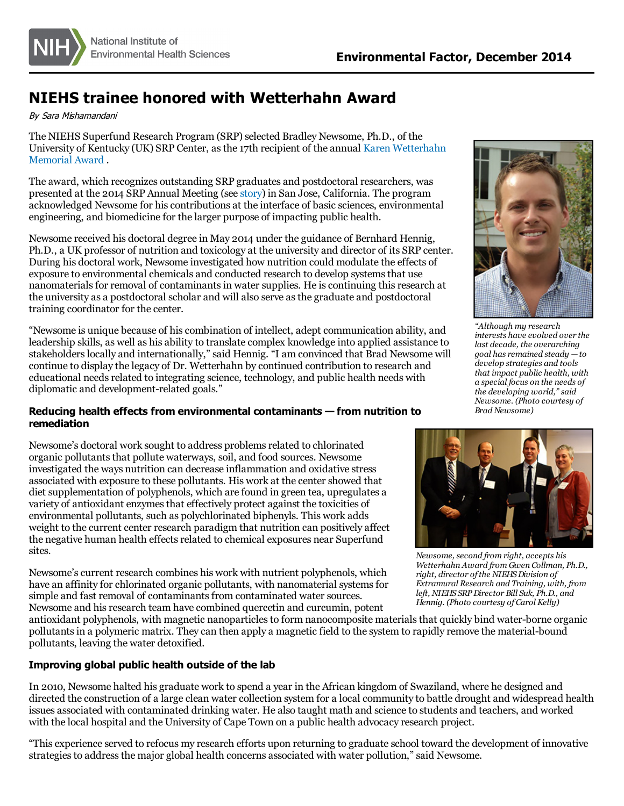

## **NIEHS trainee honored with Wetterhahn Award**

By Sara Mishamandani

The NIEHS Superfund Research Program (SRP)selected Bradley Newsome, Ph.D., of the University of Kentucky (UK) SRP Center, asthe 17th recipient of the annual Karen [Wetterhahn](http://www.niehs.nih.gov/research/supported/dert/programs/srp/training/wetterhahn/index.cfm) Memorial Award .

The award, which recognizes outstanding SRP graduates and postdoctoral researchers, was presented at the 2014 SRP Annual Meeting (see [story](http://www.niehs.nih.gov/news/newsletter/2014/12/spotlight-superfund/index.htm)) in San Jose, California. The program acknowledged Newsome for hiscontributions at the interface of basic sciences, environmental engineering, and biomedicine for the larger purpose of impacting public health.

Newsome received his doctoral degree in May 2014 under the guidance of Bernhard Hennig, Ph.D., a UK professor of nutrition and toxicology at the university and director of its SRP center. During his doctoral work, Newsome investigated how nutrition could modulate the effects of exposure to environmental chemicals and conducted research to develop systems that use nanomaterials for removal of contaminants in water supplies. He is continuing this research at the university as a postdoctoral scholar and will also serve asthe graduate and postdoctoral training coordinator for the center.

"Newsome is unique because of hiscombination of intellect, adept communication ability, and leadership skills, as well as his ability to translate complex knowledge into applied assistance to stakeholders locally and internationally," said Hennig. "I am convinced that Brad Newsome will continue to display the legacy of Dr. Wetterhahn by continued contribution to research and educational needs related to integrating science, technology, and public health needs with diplomatic and development-related goals."

## **Reducing health effects from environmental contaminants — from nutrition to remediation**

Newsome's doctoral work sought to address problems related to chlorinated organic pollutants that pollute waterways, soil, and food sources. Newsome investigated the ways nutrition can decrease inflammation and oxidative stress associated with exposure to these pollutants. His work at the center showed that diet supplementation of polyphenols, which are found in green tea, upregulates a variety of antioxidant enzymes that effectively protect against the toxicities of environmental pollutants, such as polychlorinated biphenyls. This work adds weight to the current center research paradigm that nutrition can positively affect the negative human health effects related to chemical exposures near Superfund sites.

Newsome's current research combines his work with nutrient polyphenols, which have an affinity for chlorinated organic pollutants, with nanomaterial systems for simple and fast removal of contaminants from contaminated water sources. Newsome and hisresearch team have combined quercetin and curcumin, potent

antioxidant polyphenols, with magnetic nanoparticles to form nanocomposite materials that quickly bind water-borne organic pollutantsin a polymeric matrix. They can then apply a magnetic field to the system to rapidly remove the material-bound pollutants, leaving the water detoxified.

## **Improving global public health outside of the lab**

In 2010, Newsome halted his graduate work to spend a year in the African kingdom of Swaziland, where he designed and directed the construction of a large clean water collection system for a local community to battle drought and widespread health issues associated with contaminated drinking water. He also taught math and science to students and teachers, and worked with the local hospital and the University of Cape Town on a public health advocacy research project.

"This experience served to refocus my research efforts upon returning to graduate school toward the development of innovative strategiesto addressthe major global health concerns associated with water pollution," said Newsome.



*"Although my research interests have evolved over the last decade, the overarching goal has remained steady —to develop strategies and tools that impact public health, with a special focus on the needs of the developing world," said Newsome. (Photo courtesy of Brad Newsome)*



*Newsome, second from right, accepts his Wetterhahn Award from Gwen Collman, Ph.D., right, director ofthe NIEHSDivision of Extramural Research and Training, with, from left, NIEHS SRPDirector Bill Suk, Ph.D., and Hennig. (Photo courtesy of Carol Kelly)*